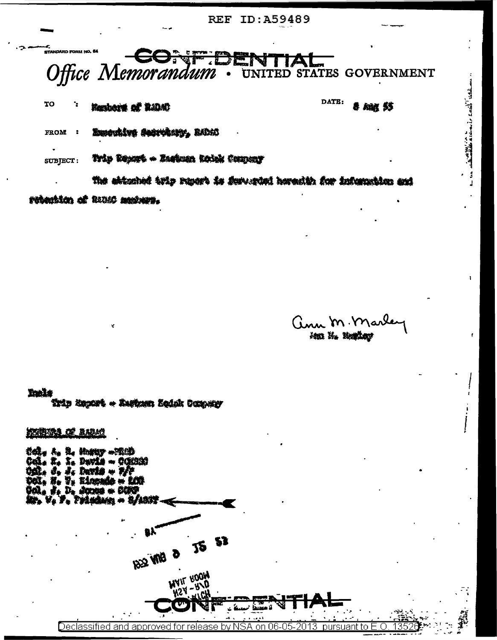**REF ID: A59489** 



Trip Texts - Zastum Robe Compar SUBJECT:

The abication toto monet is forwarint horority for information and ratantim of RUM metaws.

ann m. marle Ma H. Region

and the second control of the second control of the second control of the second control of the second control of the second control of the second control of the second control of the second control of the second control o

**Tucks** Trin incort + Zarbann Bodak Company

1001951.02 14241

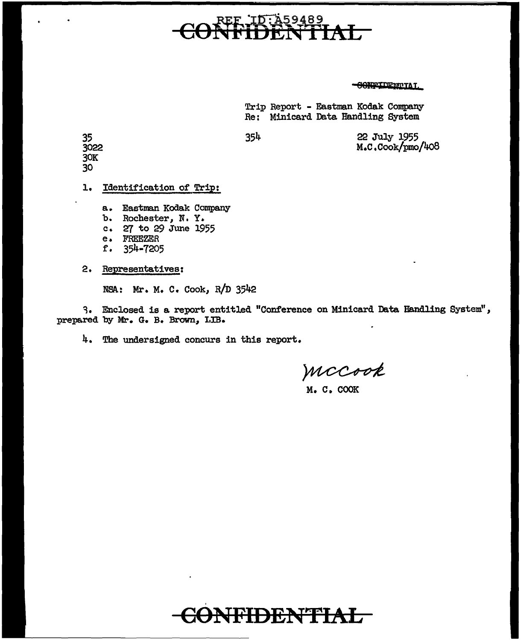### REF ID:A59489 <del>CONFIDENTIAL</del>

**GOAPTIDEMTIAT** 

Trip Report - Eastman Kodak Company Re: Minicard Data Handling System

354 22 July 1955 M.C.Cook/pmo/408

1. Identification of Trip:

a. Eastman Kodak Company

- b. Rochester, N. Y.
- c. 27 to 29 June 1955
- e. FREEZER<br>f. 354-720

ft 35J~-1205

2. Representatives:

NSA: Mr. M. C. Cook, R/D 3542

3. Enclosed is a report entitled "Conference on Minicard Data Handling System", prepared by Mr. G. B. Brown, LIB.

4. The undersigned concurs in this report.

MCCook

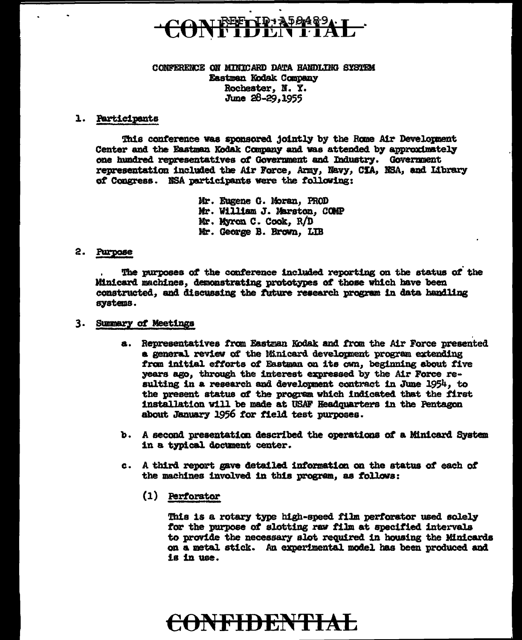# **REFTID A50489**

### CONFERENCE ON MINICARD DATA HANDLING SYSTEM Eastman Kodak Company Rochester, N. Y. June 28-29, 1955

### 1. Participants

This conference was sponsored jointly by the Rome Air Development Center and the Eastman Kodak Company and was attended by approximately one hundred representatives of Government and Industry. Government representation included the Air Force, Army, Navy, CIA, NSA, and Library of Congress. NSA participants were the following:

> Mr. Eugene G. Moran, PROD Mr. William J. Marston, COMP Mr. Myron C. Cook, R/D Mr. George B. Erown, LIB

### 2. Purpose

The purposes of the conference included reporting on the status of the Minicard machines, demonstrating prototypes of those which have been constructed, and discussing the future research program in data handling systems.

### 3. Summary of Meetings

- a. Representatives from Eastman Kodak and from the Air Force presented a general review of the Minicard development program extending from initial efforts of Eastman on its own, beginning about five years ago, through the interest expressed by the Air Force resulting in a research and development contract in June 1954, to the present status of the program which indicated that the first installation will be made at USAF Headquarters in the Pentagon about January 1956 for field test purposes.
- b. A second presentation described the operations of a Minicard System in a typical document center.
- c. A third report gave detailed information on the status of each of the machines involved in this program, as follows:
	- (1) Perforator

This is a rotary type high-speed film perforator used solely for the purpose of slotting raw film at specified intervals to provide the necessary slot required in housing the Minicards on a metal stick. An experimental model has been produced and is in use.

## **ONFIDENTIA**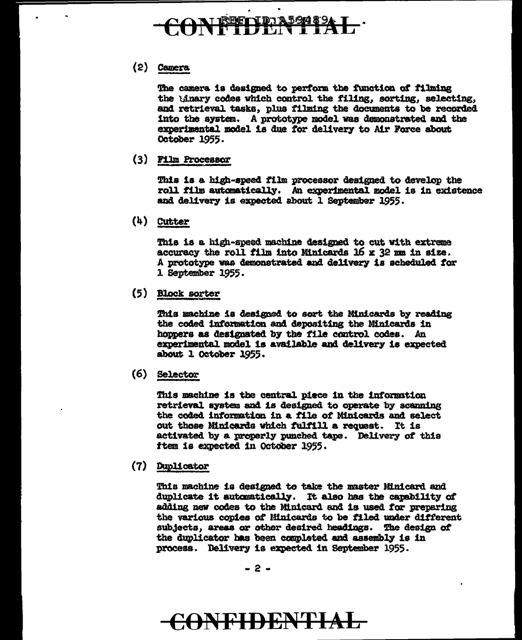## **REFIID: A59489**

### (2) camera

The camera is designed to perform the function of filming the 'linary codes which control the filing, sorting, selecting, and retrieval tasks, plus filming the documents to be recorded. into the system. A prototype model was demonstrated and the experimental model is due for delivery to Air Force about October 1955.

(3) Film Processor

This 1a a high-speed tilm processor designed to develop the roll film automatically. An experimental model is in existence and delivery is expected about l September 1955.

(4) Cutter

This is a high-speed machine designed to cut with extreme accuracy the roll film into Minicards 16  $x$  32 mm in size. A prototype was demonstrated and delivery is scheduled for l september 1955.

(5) Block sorter

This machine is designed to sort the Minicards by reading the coded information and depositing the Minicards in hoppers as designated by the file control codes. An exper1mentai model is available and delivery 1e expected about l OCtober 1955.

( 6} Selector

This machine is the central piece in the information retrieval system and is designed to operate by scanning the coded information in a file of Minicards and select out those Minicards which fulfill a request. It is activated by a properly punched tape. Delivery *ot* this ftem is expected in October 1955.

(7) Duplicator

This machine is designed to take the master Minicard and duplicate it automatically. It also has the capability of adding new codes to the Millicard and 1a used *tor* preparing the various copies of **Hinicards** to be filed under different subjects, areas or other desired headings. The design of the duplicator has been completed and assembly is in process. Delivery ia expected in September 1955-

### €0NFIDENTIAL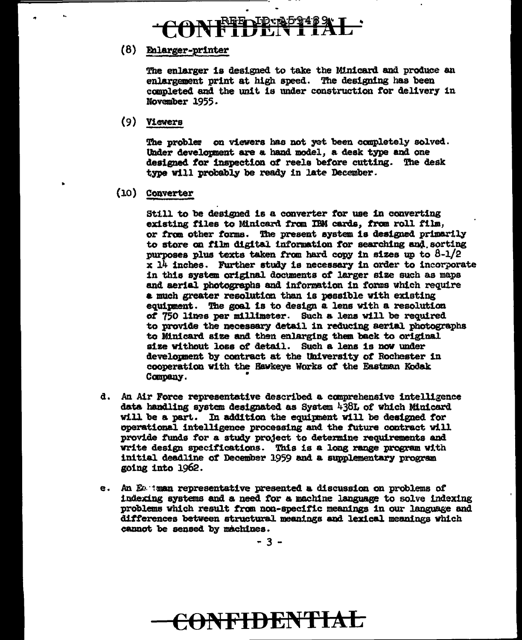## $~$ Fr $\sim$ ID - 201484

### (8) Enlarger-printer

The enlarger is designed to take the Minicard and produce an enlargement print at high speed. The designing has been completed and the unit is under construction for delivery 1n November 1955.

(9) Viewers

..

..

The problem on viewers has not yet been completely solved. Under development are a hand model, a desk type and one designed. tor inspection ot reela betore cutting. The desk type will probably be ready in late December .

(lO) Ccmverter

Still to be designed is a converter for use in converting existing files to Minicard from IBM cards, from roll film, or from other forms. The present system is designed primarily to store on film digital information for searching and sorting purposes plus texts taken *trcm* hard copy in sizes up to 8-1/2  $x$  14 inches. Further study is necessary in order to incorporate in this system original documents of larger size such as maps and aerial photographs and information in forms which require a much greater resolution than is possible with existing equipment. The goal is to design a lens with a resolution of 750 lines per millimeter. Such a lens will be required to provide the necessary detail in reducing aerial photographs to Minicard size and then enlarging them back to original size without loss of detail. Such a lens is now under development by contract at the University of Rochester in cooperation with the Hawkeye Works of the Eastman Kodak Company.

- d. An Air Force representative described a canprehensive intelligence data handling system designated as System 438L of which Minicard will be a part. In addition the equipment will be designed for operational intelligence processing and the future contract will provide funds for a study project to determine requirements and write design specifications. This is a long range program with initial deadline *ot* December 1959 and a supplementary program going into 1962.
- e. .An Eo.·1mn representative presented a discussion on problems *ot*  indexing systems and a need for a machine language to solve indexing problems which result tran non-specitic meanings in our language and differences between structural meanings and lexical meanings which cannot be sensed by machines.

.. 3 -

## <del>CONFIDENTIAL</del>